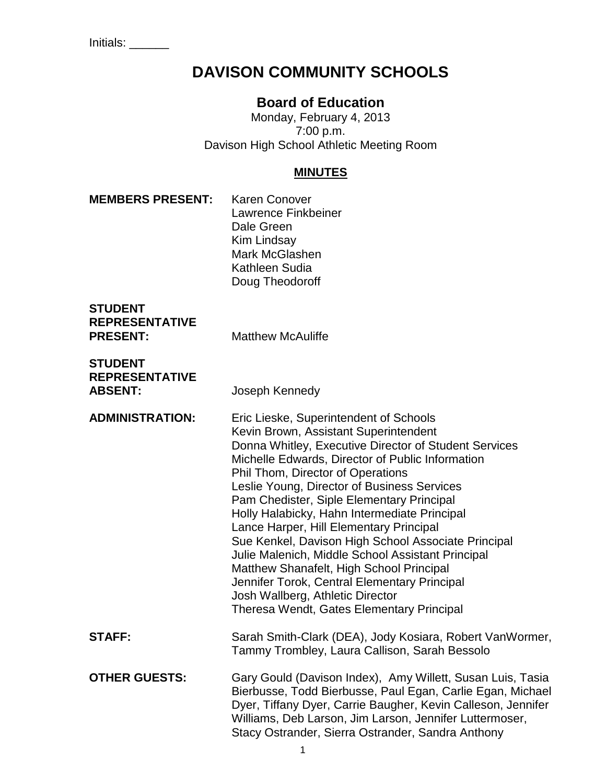# **DAVISON COMMUNITY SCHOOLS**

## **Board of Education**

Monday, February 4, 2013 7:00 p.m. Davison High School Athletic Meeting Room

#### **MINUTES**

**MEMBERS PRESENT:** Karen Conover Lawrence Finkbeiner Dale Green Kim Lindsay Mark McGlashen Kathleen Sudia Doug Theodoroff

| SIUDENI               |                          |
|-----------------------|--------------------------|
| <b>REPRESENTATIVE</b> |                          |
| <b>PRESENT:</b>       | <b>Matthew McAuliffe</b> |

**STUDENT REPRESENTATIVE ABSENT:** Joseph Kennedy

**STUDENT** 

**ADMINISTRATION:** Eric Lieske, Superintendent of Schools Kevin Brown, Assistant Superintendent Donna Whitley, Executive Director of Student Services Michelle Edwards, Director of Public Information Phil Thom, Director of Operations Leslie Young, Director of Business Services Pam Chedister, Siple Elementary Principal Holly Halabicky, Hahn Intermediate Principal Lance Harper, Hill Elementary Principal Sue Kenkel, Davison High School Associate Principal Julie Malenich, Middle School Assistant Principal Matthew Shanafelt, High School Principal Jennifer Torok, Central Elementary Principal Josh Wallberg, Athletic Director Theresa Wendt, Gates Elementary Principal **STAFF:** Sarah Smith-Clark (DEA), Jody Kosiara, Robert VanWormer, Tammy Trombley, Laura Callison, Sarah Bessolo **OTHER GUESTS:** Gary Gould (Davison Index), Amy Willett, Susan Luis, Tasia Bierbusse, Todd Bierbusse, Paul Egan, Carlie Egan, Michael Dyer, Tiffany Dyer, Carrie Baugher, Kevin Calleson, Jennifer Williams, Deb Larson, Jim Larson, Jennifer Luttermoser,

Stacy Ostrander, Sierra Ostrander, Sandra Anthony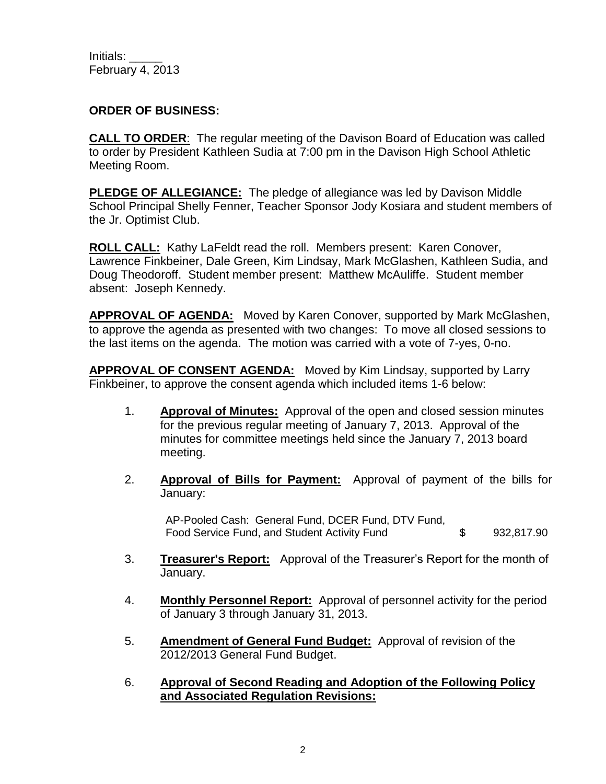#### **ORDER OF BUSINESS:**

**CALL TO ORDER**: The regular meeting of the Davison Board of Education was called to order by President Kathleen Sudia at 7:00 pm in the Davison High School Athletic Meeting Room.

**PLEDGE OF ALLEGIANCE:** The pledge of allegiance was led by Davison Middle School Principal Shelly Fenner, Teacher Sponsor Jody Kosiara and student members of the Jr. Optimist Club.

**ROLL CALL:** Kathy LaFeldt read the roll. Members present: Karen Conover, Lawrence Finkbeiner, Dale Green, Kim Lindsay, Mark McGlashen, Kathleen Sudia, and Doug Theodoroff. Student member present: Matthew McAuliffe. Student member absent: Joseph Kennedy.

**APPROVAL OF AGENDA:** Moved by Karen Conover, supported by Mark McGlashen, to approve the agenda as presented with two changes: To move all closed sessions to the last items on the agenda. The motion was carried with a vote of 7-yes, 0-no.

**APPROVAL OF CONSENT AGENDA:** Moved by Kim Lindsay, supported by Larry Finkbeiner, to approve the consent agenda which included items 1-6 below:

- 1. **Approval of Minutes:** Approval of the open and closed session minutes for the previous regular meeting of January 7, 2013. Approval of the minutes for committee meetings held since the January 7, 2013 board meeting.
- 2. **Approval of Bills for Payment:** Approval of payment of the bills for January:

AP-Pooled Cash: General Fund, DCER Fund, DTV Fund, Food Service Fund, and Student Activity Fund  $$$  932,817.90

- 3. **Treasurer's Report:** Approval of the Treasurer's Report for the month of January.
- 4. **Monthly Personnel Report:** Approval of personnel activity for the period of January 3 through January 31, 2013.
- 5. **Amendment of General Fund Budget:** Approval of revision of the 2012/2013 General Fund Budget.
- 6. **Approval of Second Reading and Adoption of the Following Policy and Associated Regulation Revisions:**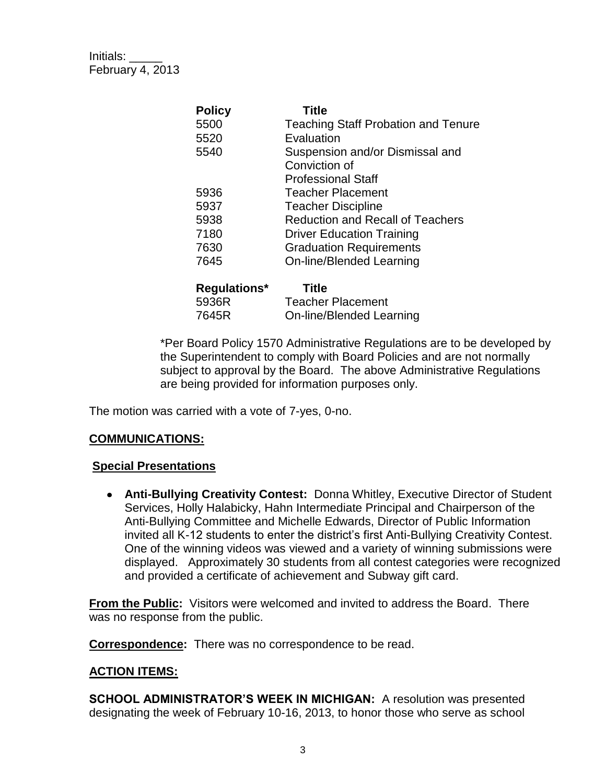| <b>Policy</b> | <b>Title</b>                               |
|---------------|--------------------------------------------|
| 5500          | <b>Teaching Staff Probation and Tenure</b> |
| 5520          | Evaluation                                 |
| 5540          | Suspension and/or Dismissal and            |
|               | Conviction of                              |
|               | <b>Professional Staff</b>                  |
| 5936          | <b>Teacher Placement</b>                   |
| 5937          | <b>Teacher Discipline</b>                  |
| 5938          | <b>Reduction and Recall of Teachers</b>    |
| 7180          | <b>Driver Education Training</b>           |
| 7630          | <b>Graduation Requirements</b>             |
| 7645          | On-line/Blended Learning                   |
| Regulations*  | <b>Title</b>                               |
| 5936R         | <b>Teacher Placement</b>                   |
| 7645R         | On-line/Blended Learning                   |

\*Per Board Policy 1570 Administrative Regulations are to be developed by the Superintendent to comply with Board Policies and are not normally subject to approval by the Board. The above Administrative Regulations are being provided for information purposes only.

The motion was carried with a vote of 7-yes, 0-no.

#### **COMMUNICATIONS:**

#### **Special Presentations**

**Anti-Bullying Creativity Contest:** Donna Whitley, Executive Director of Student Services, Holly Halabicky, Hahn Intermediate Principal and Chairperson of the Anti-Bullying Committee and Michelle Edwards, Director of Public Information invited all K-12 students to enter the district's first Anti-Bullying Creativity Contest. One of the winning videos was viewed and a variety of winning submissions were displayed. Approximately 30 students from all contest categories were recognized and provided a certificate of achievement and Subway gift card.

**From the Public:** Visitors were welcomed and invited to address the Board. There was no response from the public.

**Correspondence:** There was no correspondence to be read.

#### **ACTION ITEMS:**

**SCHOOL ADMINISTRATOR'S WEEK IN MICHIGAN:** A resolution was presented designating the week of February 10-16, 2013, to honor those who serve as school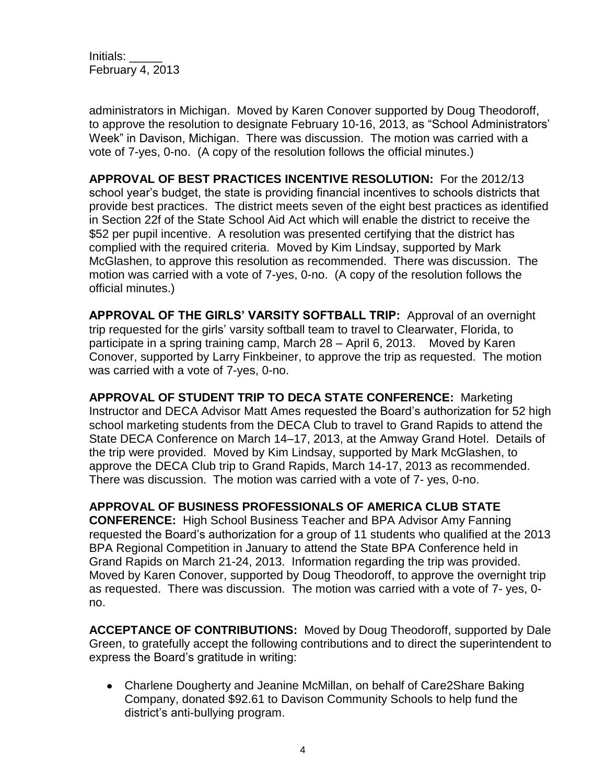administrators in Michigan. Moved by Karen Conover supported by Doug Theodoroff, to approve the resolution to designate February 10-16, 2013, as "School Administrators' Week" in Davison, Michigan. There was discussion. The motion was carried with a vote of 7-yes, 0-no. (A copy of the resolution follows the official minutes.)

**APPROVAL OF BEST PRACTICES INCENTIVE RESOLUTION:** For the 2012/13 school year's budget, the state is providing financial incentives to schools districts that provide best practices. The district meets seven of the eight best practices as identified in Section 22f of the State School Aid Act which will enable the district to receive the \$52 per pupil incentive. A resolution was presented certifying that the district has complied with the required criteria. Moved by Kim Lindsay, supported by Mark McGlashen, to approve this resolution as recommended. There was discussion. The motion was carried with a vote of 7-yes, 0-no. (A copy of the resolution follows the official minutes.)

**APPROVAL OF THE GIRLS' VARSITY SOFTBALL TRIP:** Approval of an overnight trip requested for the girls' varsity softball team to travel to Clearwater, Florida, to participate in a spring training camp, March 28 – April 6, 2013. Moved by Karen Conover, supported by Larry Finkbeiner, to approve the trip as requested. The motion was carried with a vote of 7-yes, 0-no.

**APPROVAL OF STUDENT TRIP TO DECA STATE CONFERENCE:** Marketing Instructor and DECA Advisor Matt Ames requested the Board's authorization for 52 high school marketing students from the DECA Club to travel to Grand Rapids to attend the State DECA Conference on March 14–17, 2013, at the Amway Grand Hotel. Details of the trip were provided. Moved by Kim Lindsay, supported by Mark McGlashen, to approve the DECA Club trip to Grand Rapids, March 14-17, 2013 as recommended. There was discussion. The motion was carried with a vote of 7- yes, 0-no.

**APPROVAL OF BUSINESS PROFESSIONALS OF AMERICA CLUB STATE CONFERENCE:** High School Business Teacher and BPA Advisor Amy Fanning requested the Board's authorization for a group of 11 students who qualified at the 2013 BPA Regional Competition in January to attend the State BPA Conference held in Grand Rapids on March 21-24, 2013. Information regarding the trip was provided. Moved by Karen Conover, supported by Doug Theodoroff, to approve the overnight trip as requested. There was discussion. The motion was carried with a vote of 7- yes, 0 no.

**ACCEPTANCE OF CONTRIBUTIONS:** Moved by Doug Theodoroff, supported by Dale Green, to gratefully accept the following contributions and to direct the superintendent to express the Board's gratitude in writing:

Charlene Dougherty and Jeanine McMillan, on behalf of Care2Share Baking Company, donated \$92.61 to Davison Community Schools to help fund the district's anti-bullying program.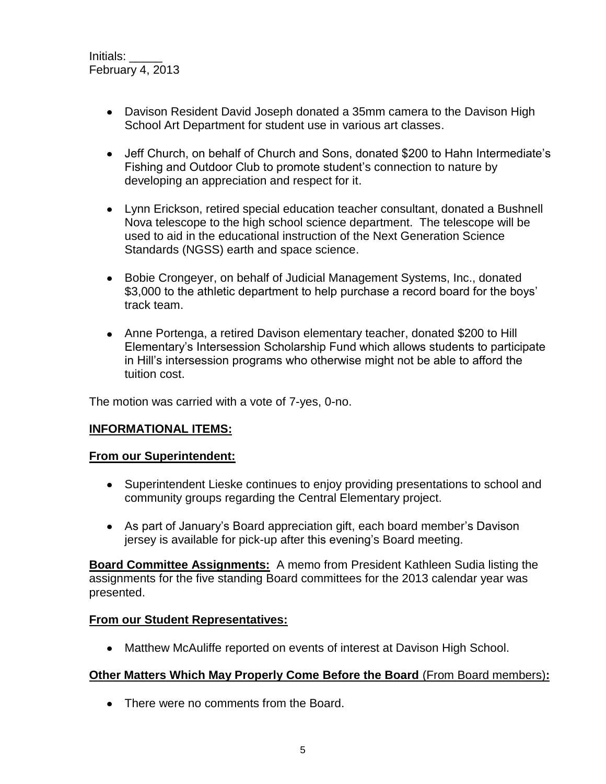- Davison Resident David Joseph donated a 35mm camera to the Davison High School Art Department for student use in various art classes.
- Jeff Church, on behalf of Church and Sons, donated \$200 to Hahn Intermediate's Fishing and Outdoor Club to promote student's connection to nature by developing an appreciation and respect for it.
- Lynn Erickson, retired special education teacher consultant, donated a Bushnell Nova telescope to the high school science department. The telescope will be used to aid in the educational instruction of the Next Generation Science Standards (NGSS) earth and space science.
- Bobie Crongeyer, on behalf of Judicial Management Systems, Inc., donated \$3,000 to the athletic department to help purchase a record board for the boys' track team.
- Anne Portenga, a retired Davison elementary teacher, donated \$200 to Hill Elementary's Intersession Scholarship Fund which allows students to participate in Hill's intersession programs who otherwise might not be able to afford the tuition cost.

The motion was carried with a vote of 7-yes, 0-no.

## **INFORMATIONAL ITEMS:**

## **From our Superintendent:**

- Superintendent Lieske continues to enjoy providing presentations to school and community groups regarding the Central Elementary project.
- As part of January's Board appreciation gift, each board member's Davison jersey is available for pick-up after this evening's Board meeting.

**Board Committee Assignments:** A memo from President Kathleen Sudia listing the assignments for the five standing Board committees for the 2013 calendar year was presented.

## **From our Student Representatives:**

Matthew McAuliffe reported on events of interest at Davison High School.

## **Other Matters Which May Properly Come Before the Board** (From Board members)**:**

• There were no comments from the Board.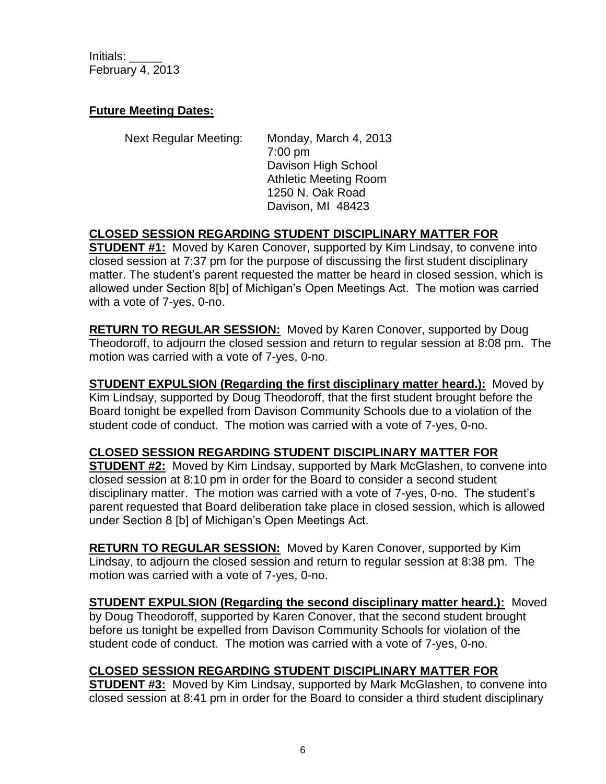#### **Future Meeting Dates:**

Next Regular Meeting: Monday, March 4, 2013 7:00 pm Davison High School Athletic Meeting Room 1250 N. Oak Road Davison, MI 48423

## **CLOSED SESSION REGARDING STUDENT DISCIPLINARY MATTER FOR**

**STUDENT #1:** Moved by Karen Conover, supported by Kim Lindsay, to convene into closed session at 7:37 pm for the purpose of discussing the first student disciplinary matter. The student's parent requested the matter be heard in closed session, which is allowed under Section 8[b] of Michigan's Open Meetings Act. The motion was carried with a vote of 7-yes, 0-no.

**RETURN TO REGULAR SESSION:** Moved by Karen Conover, supported by Doug Theodoroff, to adjourn the closed session and return to regular session at 8:08 pm. The motion was carried with a vote of 7-yes, 0-no.

**STUDENT EXPULSION (Regarding the first disciplinary matter heard.):** Moved by Kim Lindsay, supported by Doug Theodoroff, that the first student brought before the Board tonight be expelled from Davison Community Schools due to a violation of the student code of conduct. The motion was carried with a vote of 7-yes, 0-no.

## **CLOSED SESSION REGARDING STUDENT DISCIPLINARY MATTER FOR**

**STUDENT #2:** Moved by Kim Lindsay, supported by Mark McGlashen, to convene into closed session at 8:10 pm in order for the Board to consider a second student disciplinary matter. The motion was carried with a vote of 7-yes, 0-no. The student's parent requested that Board deliberation take place in closed session, which is allowed under Section 8 [b] of Michigan's Open Meetings Act.

**RETURN TO REGULAR SESSION:** Moved by Karen Conover, supported by Kim Lindsay, to adjourn the closed session and return to regular session at 8:38 pm. The motion was carried with a vote of 7-yes, 0-no.

**STUDENT EXPULSION (Regarding the second disciplinary matter heard.):** Moved by Doug Theodoroff, supported by Karen Conover, that the second student brought before us tonight be expelled from Davison Community Schools for violation of the student code of conduct. The motion was carried with a vote of 7-yes, 0-no.

## **CLOSED SESSION REGARDING STUDENT DISCIPLINARY MATTER FOR**

**STUDENT #3:** Moved by Kim Lindsay, supported by Mark McGlashen, to convene into closed session at 8:41 pm in order for the Board to consider a third student disciplinary